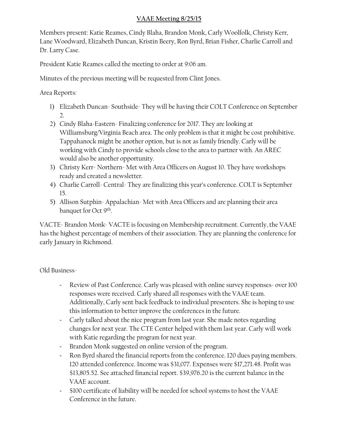## **VAAE Meeting 8/25/15**

Members present: Katie Reames, Cindy Blaha, Brandon Monk, Carly Woolfolk, Christy Kerr, Lane Woodward, Elizabeth Duncan, Kristin Beery, Ron Byrd, Brian Fisher, Charlie Carroll and Dr. Larry Case.

President Katie Reames called the meeting to order at 9:06 am.

Minutes of the previous meeting will be requested from Clint Jones.

Area Reports:

- 1) Elizabeth Duncan- Southside- They will be having their COLT Conference on September 2.
- 2) Cindy Blaha-Eastern- Finalizing conference for 2017. They are looking at Williamsburg/Virginia Beach area. The only problem is that it might be cost prohibitive. Tappahanock might be another option, but is not as family friendly. Carly will be working with Cindy to provide schools close to the area to partner with. An AREC would also be another opportunity.
- 3) Christy Kerr- Northern- Met with Area Officers on August 10. They have workshops ready and created a newsletter.
- 4) Charlie Carroll- Central- They are finalizing this year's conference. COLT is September 15.
- 5) Allison Sutphin- Appalachian- Met with Area Officers and are planning their area banquet for Oct 9th .

VACTE- Brandon Monk- VACTE is focusing on Membership recruitment. Currently, the VAAE has the highest percentage of members of their association. They are planning the conference for early January in Richmond.

Old Business-

- Review of Past Conference. Carly was pleased with online survey responses- over 100 responses were received. Carly shared all responses with the VAAE team. Additionally, Carly sent back feedback to individual presenters. She is hoping to use this information to better improve the conferences in the future.
- Carly talked about the nice program from last year. She made notes regarding changes for next year. The CTE Center helped with them last year. Carly will work with Katie regarding the program for next year.
- Brandon Monk suggested on online version of the program.
- Ron Byrd shared the financial reports from the conference. 120 dues paying members. 120 attended conference. Income was \$31,077. Expenses were \$17,271.48. Profit was \$13,805.52. See attached financial report. \$39,976.20 is the current balance in the VAAE account.
- \$100 certificate of liability will be needed for school systems to host the VAAE Conference in the future.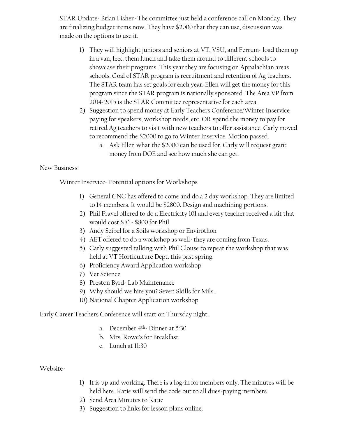STAR Update- Brian Fisher- The committee just held a conference call on Monday. They are finalizing budget items now. They have \$2000 that they can use, discussion was made on the options to use it.

- 1) They will highlight juniors and seniors at VT, VSU, and Ferrum- load them up in a van, feed them lunch and take them around to different schools to showcase their programs. This year they are focusing on Appalachian areas schools. Goal of STAR program is recruitment and retention of Ag teachers. The STAR team has set goals for each year. Ellen will get the money for this program since the STAR program is nationally sponsored. The Area VP from 2014-2015 is the STAR Committee representative for each area.
- 2) Suggestion to spend money at Early Teachers Conference/Winter Inservice paying for speakers, workshop needs, etc. OR spend the money to pay for retired Ag teachers to visit with new teachers to offer assistance. Carly moved to recommend the \$2000 to go to Winter Inservice. Motion passed.
	- a. Ask Ellen what the \$2000 can be used for. Carly will request grant money from DOE and see how much she can get.

## New Business:

Winter Inservice- Potential options for Workshops

- 1) General CNC has offered to come and do a 2 day workshop. They are limited to 14 members. It would be \$2800. Design and machining portions.
- 2) Phil Fravel offered to do a Electricity 101 and every teacher received a kit that would cost \$10.- \$800 for Phil
- 3) Andy Seibel for a Soils workshop or Envirothon
- 4) AET offered to do a workshop as well-they are coming from Texas.
- 5) Carly suggested talking with Phil Clouse to repeat the workshop that was held at VT Horticulture Dept. this past spring.
- 6) Proficiency Award Application workshop
- 7) Vet Science
- 8) Preston Byrd- Lab Maintenance
- 9) Why should we hire you? Seven Skills for Mils..
- 10) National Chapter Application workshop

Early Career Teachers Conference will start on Thursday night.

- a. December  $4<sup>th</sup>$  Dinner at 5:30
- b. Mrs. Rowe's for Breakfast
- c. Lunch at 11:30

Website-

- 1) It is up and working. There is a log-in for members only. The minutes will be held here. Katie will send the code out to all dues-paying members.
- 2) Send Area Minutes to Katie
- 3) Suggestion to links for lesson plans online.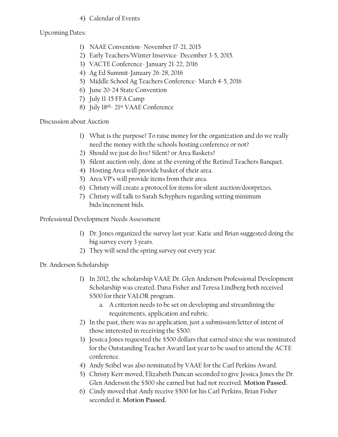## 4) Calendar of Events

Upcoming Dates:

- 1) NAAE Convention- November 17-21, 2015
- 2) Early Teachers/Winter Inservice- December 3-5, 2015.
- 3) VACTE Conference- January 21-22, 2016
- 4) Ag Ed Summit-January 26-28, 2016
- 5) Middle School Ag Teachers Conference- March 4-5, 2016
- 6) June 20-24 State Convention
- 7) July 11-15 FFA Camp
- 8) July 18<sup>th</sup>-21<sup>st</sup> VAAE Conference

Discussion about Auction

- 1) What is the purpose? To raise money for the organization and do we really need the money with the schools hosting conference or not?
- 2) Should we just do live? Silent? or Area Baskets?
- 3) Silent auction only, done at the evening of the Retired Teachers Banquet.
- 4) Hosting Area will provide basket of their area.
- 5) Area VP's will provide items from their area.
- 6) Christy will create a protocol for items for silent auction/doorprizes.
- 7) Christy will talk to Sarah Schyphers regarding setting minimum bids/increment bids.

Professional Development Needs Assessment

- 1) Dr. Jones organized the survey last year. Katie and Brian suggested doing the big survey every 3 years.
- 2) They will send the spring survey out every year.

Dr. Anderson Scholarship

- 1) In 2012, the scholarship VAAE Dr. Glen Anderson Professional Development Scholarship was created. Dana Fisher and Teresa Lindberg both received \$500 for their VALOR program.
	- a. A criterion needs to be set on developing and streamlining the requirements, application and rubric.
- 2) In the past, there was no application, just a submission/letter of intent of those interested in receiving the \$500.
- 3) Jessica Jones requested the \$500 dollars that earned since she was nominated for the Outstanding Teacher Award last year to be used to attend the ACTE conference.
- 4) Andy Seibel was also nominated by VAAE for the Carl Perkins Award.
- 5) Christy Kerr moved, Elizabeth Duncan seconded to give Jessica Jones the Dr. Glen Anderson the \$500 she earned but had not received. **Motion Passed.**
- 6) Cindy moved that Andy receive \$500 for his Carl Perkins, Brian Fisher seconded it. **Motion Passed.**